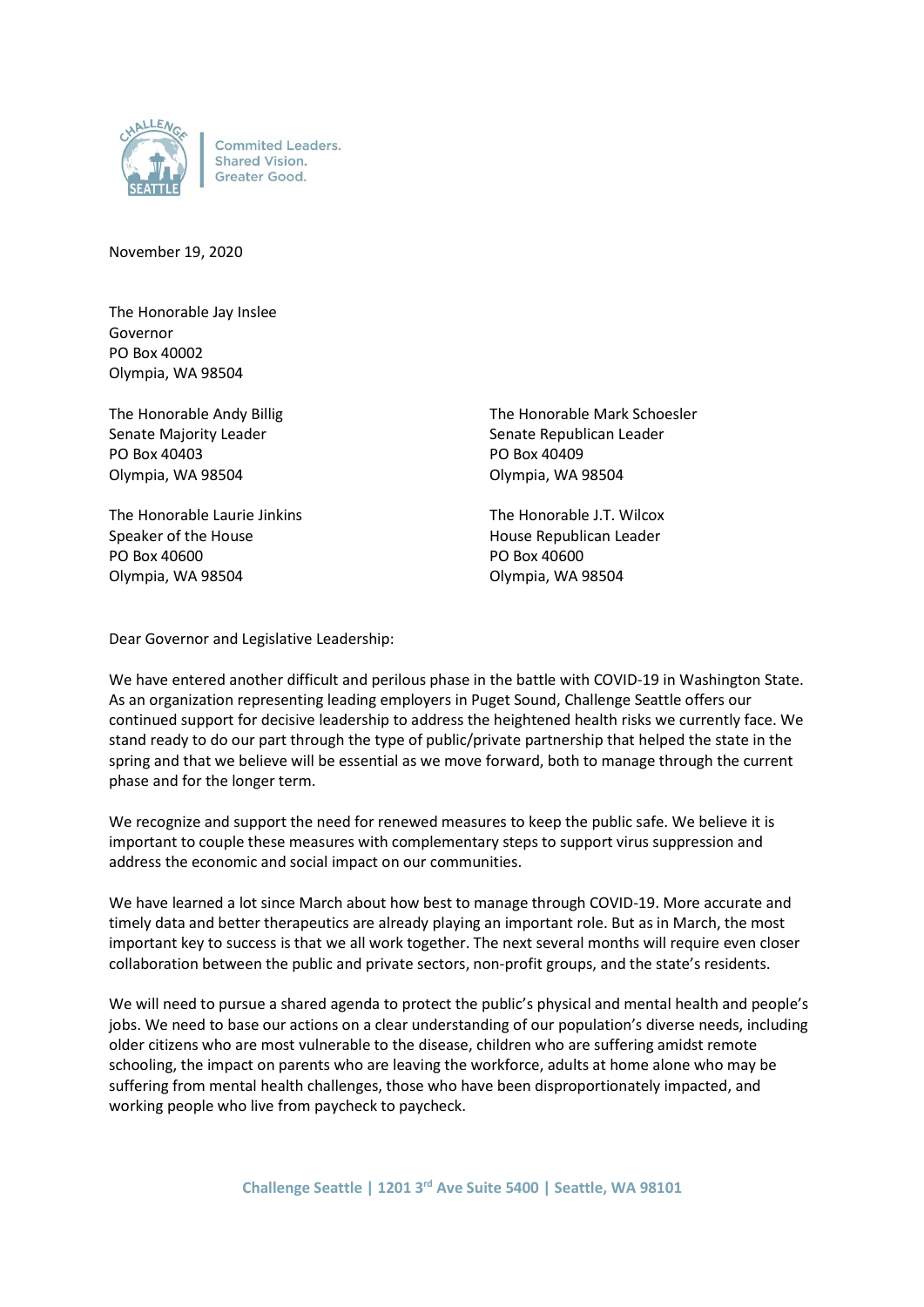

**Commited Leaders. Shared Vision.** Greater Good.

November 19, 2020

The Honorable Jay Inslee Governor PO Box 40002 Olympia, WA 98504

PO Box 40403 PO Box 40409 Olympia, WA 98504 Olympia, WA 98504

The Honorable Laurie Jinkins The Honorable J.T. Wilcox Speaker of the House **House Republican Leader House Republican Leader** PO Box 40600 PO Box 40600 Olympia, WA 98504 Olympia, WA 98504

The Honorable Andy Billig The Honorable Mark Schoesler Senate Majority Leader Senate Republican Leader

Dear Governor and Legislative Leadership:

We have entered another difficult and perilous phase in the battle with COVID-19 in Washington State. As an organization representing leading employers in Puget Sound, Challenge Seattle offers our continued support for decisive leadership to address the heightened health risks we currently face. We stand ready to do our part through the type of public/private partnership that helped the state in the spring and that we believe will be essential as we move forward, both to manage through the current phase and for the longer term.

We recognize and support the need for renewed measures to keep the public safe. We believe it is important to couple these measures with complementary steps to support virus suppression and address the economic and social impact on our communities.

We have learned a lot since March about how best to manage through COVID-19. More accurate and timely data and better therapeutics are already playing an important role. But as in March, the most important key to success is that we all work together. The next several months will require even closer collaboration between the public and private sectors, non-profit groups, and the state's residents.

We will need to pursue a shared agenda to protect the public's physical and mental health and people's jobs. We need to base our actions on a clear understanding of our population's diverse needs, including older citizens who are most vulnerable to the disease, children who are suffering amidst remote schooling, the impact on parents who are leaving the workforce, adults at home alone who may be suffering from mental health challenges, those who have been disproportionately impacted, and working people who live from paycheck to paycheck.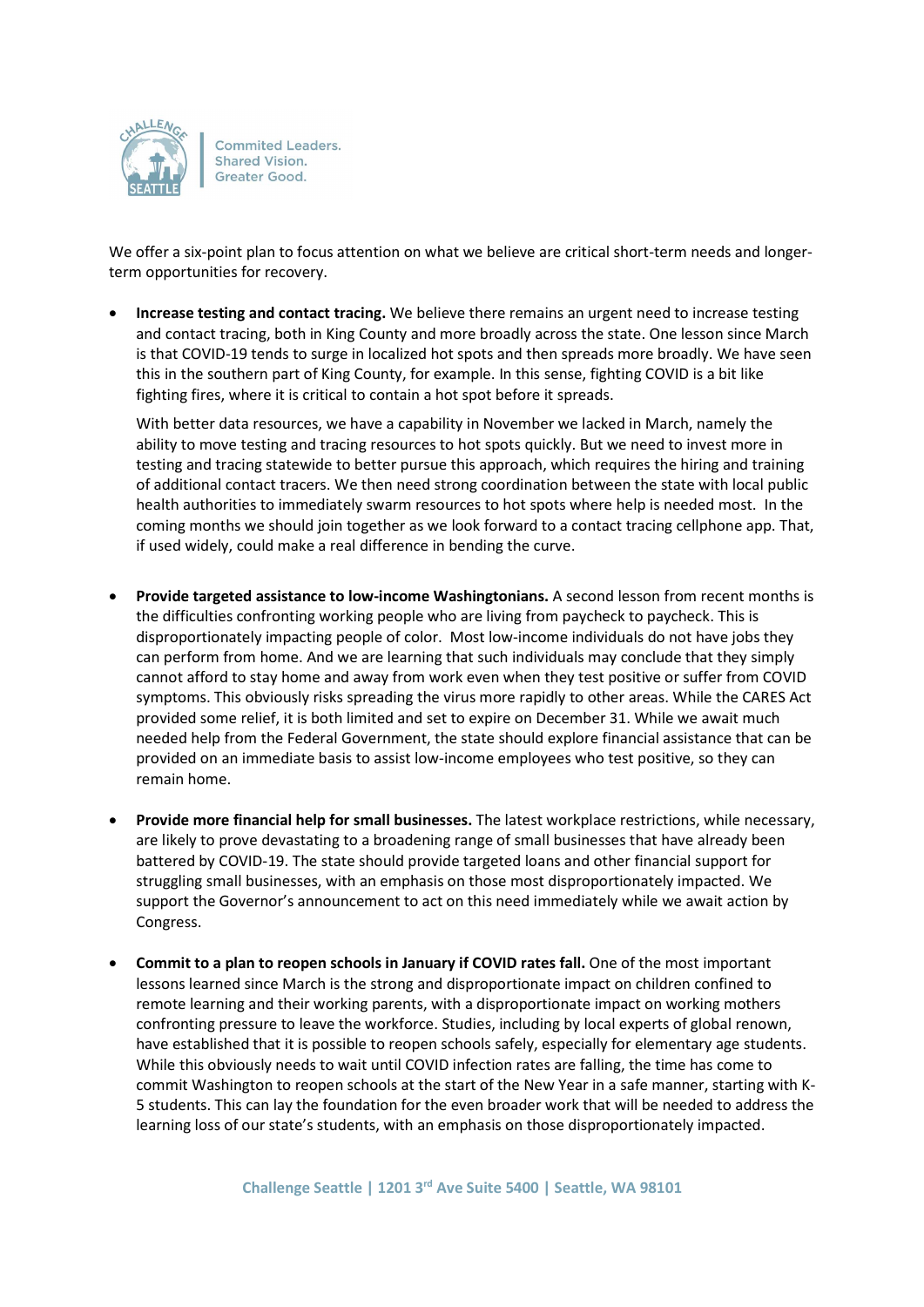

**Commited Leaders. Shared Vision.** Greater Good.

We offer a six-point plan to focus attention on what we believe are critical short-term needs and longerterm opportunities for recovery.

 Increase testing and contact tracing. We believe there remains an urgent need to increase testing and contact tracing, both in King County and more broadly across the state. One lesson since March is that COVID-19 tends to surge in localized hot spots and then spreads more broadly. We have seen this in the southern part of King County, for example. In this sense, fighting COVID is a bit like fighting fires, where it is critical to contain a hot spot before it spreads.

With better data resources, we have a capability in November we lacked in March, namely the ability to move testing and tracing resources to hot spots quickly. But we need to invest more in testing and tracing statewide to better pursue this approach, which requires the hiring and training of additional contact tracers. We then need strong coordination between the state with local public health authorities to immediately swarm resources to hot spots where help is needed most. In the coming months we should join together as we look forward to a contact tracing cellphone app. That, if used widely, could make a real difference in bending the curve.

- Provide targeted assistance to low-income Washingtonians. A second lesson from recent months is the difficulties confronting working people who are living from paycheck to paycheck. This is disproportionately impacting people of color. Most low-income individuals do not have jobs they can perform from home. And we are learning that such individuals may conclude that they simply cannot afford to stay home and away from work even when they test positive or suffer from COVID symptoms. This obviously risks spreading the virus more rapidly to other areas. While the CARES Act provided some relief, it is both limited and set to expire on December 31. While we await much needed help from the Federal Government, the state should explore financial assistance that can be provided on an immediate basis to assist low-income employees who test positive, so they can remain home.
- Provide more financial help for small businesses. The latest workplace restrictions, while necessary, are likely to prove devastating to a broadening range of small businesses that have already been battered by COVID-19. The state should provide targeted loans and other financial support for struggling small businesses, with an emphasis on those most disproportionately impacted. We support the Governor's announcement to act on this need immediately while we await action by Congress.
- Commit to a plan to reopen schools in January if COVID rates fall. One of the most important lessons learned since March is the strong and disproportionate impact on children confined to remote learning and their working parents, with a disproportionate impact on working mothers confronting pressure to leave the workforce. Studies, including by local experts of global renown, have established that it is possible to reopen schools safely, especially for elementary age students. While this obviously needs to wait until COVID infection rates are falling, the time has come to commit Washington to reopen schools at the start of the New Year in a safe manner, starting with K-5 students. This can lay the foundation for the even broader work that will be needed to address the learning loss of our state's students, with an emphasis on those disproportionately impacted.